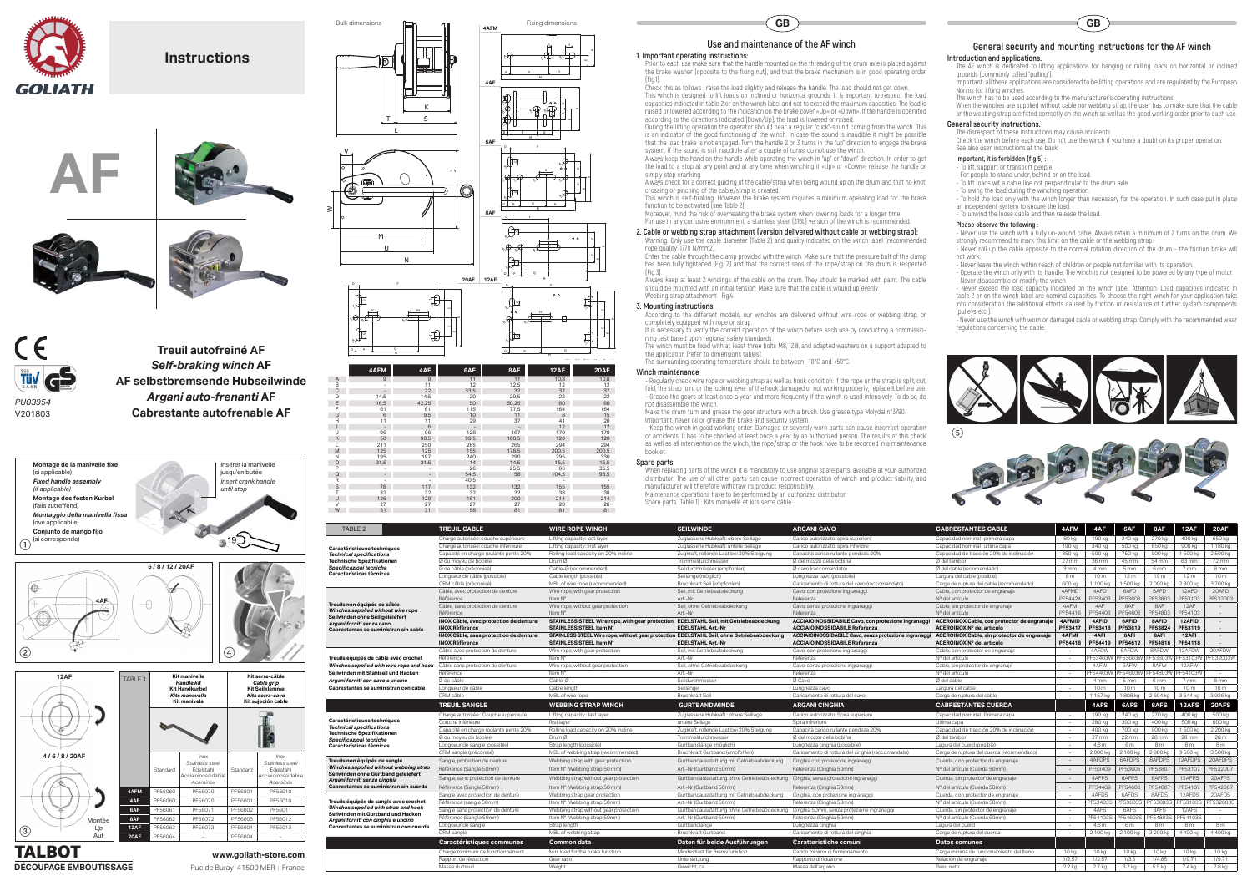

**Instructions**





TABLE 2 **TREUIL CABLE WIRE ROPE WINCH SEILWINDE ARGANI CAVO CABRESTANTES CABLE 4AFM 4AF 6AF 8AF 12AF 20AF Caractéristiques techniques** *Technical specifications* **Technische Spezifikationen** *Specificazioni tecniche* **Características técnicas** Charge autorisée: couche supérieure Lifting capacity: last layer Zuglassene Hubkraft: obere Seillage Carico autorizzato: spira superiore Capacidad nominal : primera capa 80 kg 190 kg 190 kg 270 kg 490 kg 650 kg Charge autorisée: couche inférieure Lifting capacity: first layer Zuglassene Hubkraft: untere Seilage Carico autorizzato: spira inferiore Capacidad nominal : ultima capa 190 kg 340 kg 500 kg 500 kg 900 kg 1 180 kg Capacité en charge roulante pente 20% Rolling load capacity on 20% incline Zugkraft, rollende Last bei 20% Steigung Capacità carico rullante pendeza 20% Capacidad de tracción 20% de inclinación 350 kg 500 kg 750 kg 900 kg 1 500 kg 2 500 kg Ø du moyeu de bobine Drum Ø Trommeldurchmesser Ø del mozzo della bobina Ø del tambor Ø del tambor 27 mm 36 mm 45 mm 54 mm 63 mm 72 mm Ø de cable (preconise) Cable-Ø (recommended) Seildurchmesser (empfohlen) Ø cavo (raccomandato) Ø del cable (recomendado) 3 mm 4 mm 5 mm 6 mm 7 mm 8 mm Longueur de cable (possible) Cable length (possible) Longhezza Cavo (possibile) Lunghezza cavo (possibile) Largura del cable (posible) Sm | 10 m | 12 m | 12 m | 12 m | 10 m | 12 m | 10 m CRM câble (possible) Cable length (possible) Caricamended) Bruchkraft Seil (empfohlen) Lunghezza cavo (possibile) Larg<br>CRM câble (préconisé) MBL of wire rope (recommended) Bruchkraft Seil (empfohlen) Caricamento di rottura **Treuils non équipés de câble** *Winches supplied without wire rope* **Seilwinden ohne Seil geleiefert** *Argani forniti senza cavo* **Intes se sun** Cable, avec protection de denture Wire rope, with gear protection Seil, mit Getriebeabdeckung Cavo, con protezione ingranaggi Cable, con protector de engranaje | 4AFMD | 4AFD | 8AFD | 12AFD | 20AFD 20AFD 12AFD 12AFD 12AFD Reference Item N° Art.-Nr Art.-Nr Referenza Referenza Nº del artículo Nº del artículo PF54424 PF53403 PF53803 PF53803 PF53703 PF53703 PF532003 Cable, sans protection de denture Wire rope, without gear protection Seil, ohne Getriebeabdeckung Cavo, senza protezione ingranaggi Cable, sin protector de engranaje 4AFM 4AF | 6AF | 8AF | 12AF | -Référence Item N° (en la province art.-Nr Referenza Nº del artículo Nº del artículo PF54410 PF54403 PF54803 PF54803 PF54103 -NOX Cable, avec protection de denture STAINLESS STEEL Wire rope, with gear protection EDELSTAHL Seil, mit Getriebeabdeckung ACCIAIOINOSSIDABILE Cavo, con protezione ingranaggi ACI<br>INOX Référence STAINLESS STEEL Item N° EDE **INOX Référence STAINLESS STEEL Item N° EDELSTAHL Art.-Nr ACCIAIOINOSSIDABILE Referenza ACEROINOX Nº del artículo PF53417 PF53418 PF53619 PF53824 PF53119** - NOX Cäble, sans protection de denture STAINLESS STEEL Wire rope, without gear protection EDELSTAHL Seil, ohne Getriebeabdeckung ACCIAIOINOSSIDABILE Cavo, senza protezione ingranaggi ACEROINOX Cable, sin protector de engr **INOX Référence STAINLESS STEEL Item N° EDELSTAHL Art.-Nr ACCIAIOINOSSIDABILE Referenza ACEROINOX Nº del artículo PF54418 PF54419 PF54612 PF54816 PF54118** euils équipés de câble avec croch**e** *Winches supplied with wire rope and hook* **Seilwinden mit Stahlseil und Hacken** *Argani forniti con cavo e uncino* **Cabrestantes se suministran con cable** Cable avec protection de denture Wire rope, with gear protection Seil, mit Getriebeabdeckung Seil, and Gavo, con protezione ingranaggi Cable, con protector de engranaje - 4AFDW 8AFDW 12AFDW 20AFDW 20AFDW 20AFDW 8AFDW 12AFD Reference Item N° Art.-Nr Art.-Nr Referenza Referenza Nº del artículo - PF53403W PF53803W PF53103W PF53103W PF532003W PF532003W Câble sans protection de denture Wire rope, without gear protection Seil, ohne Getriebeabdeckung Cavo, senza protezione ingranaggi Cable, sin protector de engranaggi Cable, sin protector de engranaje - 4AFC-Nr 12AFW 12AFW Reference Item N° (Referenza N° del articulo - PF54403W PF54603W PF54803W PF54103W - PF54403W PF54103W PF54103W -Øde cable Cable-Ø Gable-Ø Seildurchmesser Ø Gavo Ø cable Ødel cable Ø de Cable - 4 mm 5 mm 6 mm 7 mm 8 mm 8 mm Longueur de câble Cable length Seillänge Lunghezza cavo Largura del cable - 10 m 10 m 10 m 10 m 10 m CRM câble - MBL of wire rope - Bruchkraft Seil - Caricamento di rottura del cavo - Carga de ruptura del cable - 1 157 kg | 1808 kg | 2604 kg | 3544 kg | 3926 kg **TREUIL SANGLE WEBBING STRAP WINCH GURTBANDWINDE ARGANI CINGHIA CABRESTANTES CUERDA 4AFS 6AFS 8AFS 12AFS 20AFS Caractéristiques techniques** *Technical specifications* **Technische Spezifikatione** *Specificazioni tecniche* **Características técnicas** Charge autorisée : Couche supérieure Lifting capacity : last layer - Zuglassene Hubkraft : obere Seillage Carico autorizzato: Spira superiore - Capacidad nominal : Primera capa - 190 kg 240 kg 270 kg 400 kg 500 kg Couche inférieure first layer tracking the seilage service Spira inferiore Spira inferiore Dima capa - Ultima capa - 280 kg 300 kg 400 kg 500 kg 600 kg 600 kg Capacité en charge roulante pente 20% Rolling load capacity on 20% incline Zugkraft, rollende Last bei 20% Steigung Capacità carico rullante pendeza 20% Cap<br>
20 May Drum 20 del moveu de bobine Drum 20 del mozzo della bobin Ødu moyeu de bobine Drum Ø Drum Ø Drum Ø Trommeldurchmesser Ødel mozzo della bobina Ø del tambor Ø del tambor - 27 mm | 22 mm | 28 mm | 28 mm | 28 mm | 28 mm | 28 mm | 28 mm | 28 mm | 28 mm | 28 mm | 28 mm | 28 mm | 28 mm Longueur de sangle (possible) Strap length (possible) – Gurtbandlänge (möglich) – Lunghezza cinghia (possibile) – Lagura del cuerd (posible) – 4.6 m 8 m 8 m 8 m 8 m CRM sangle (préconisé) MBL of webbing strap (recommended) Bruchkraft Gurtband (empfohlen) Caricamento di rottura del cinghia (raccomandato) Carga de ruptura del cuerda (recomendado) - 2 000 kg 2 100 kg 2 800 kg 3 500 kg 3 500 kg **Treuils non équipés de sangle** *Winches supplied without webbing strap* **Seilwinden ohne Gurtband geleiefert** *Argani forniti senza cinghia* **Cabrestantes se suministran sin cuerda** Sangle, protection de denture Webbing strap with gear protection Gurtbandausstattung mit Getriebeabdeckung Cinghia con protezione ingranaggi Cuerda, con protector de engranaje - 4AFDPS 6AFDPS 8AFDPS 12AFDPS 12AFDPS 20AFDPS Référence (Sangle 50mm) Item N° (Webbing strap 50 mm) Art.-Nr (Gurtband 50mm) Referenza (Cinghia 50mm) Nº del artículo (Cuerda 50mm) - PF53409 PF53606 PF53807 PF53107 PF532007 Sangle, sans protection de denture Webbing strap without gear protection Gurtbandausstattung ohne Getriebeabdeckung Cinghia, senza protezione ingranaggi Cuerda, sin protector de engranaje - 4AFPS | 6AFPS | 8AFPS | 12AFPS | Reference (Sangle 50mm) Item N° (Webbing strap 50 mm) Art.-Nr (Gurtband 50mm) Referenza (Cinghia 50mm) Nº del artículo (Cuerda 50mm) - PF54409 PF54409 PF54807 PF54107 PF542007 **Treuils équipés de sangle avec crochet** *Winches supplied with strap and hook* **Seilwinden mit Gurtband und Hacken** *Argani forniti con cinghia e uncino* **Cabrestantes se suministran con cuerda** Sangle avec protection de denture Webbing strap gear protection Gurtbandausstattung mit Getriebeabdeckung Cinghia, con protezione ingranaggi Cuerda, con protezione ingranaggi Cuerda, them N° (Vebbing strap 50mm) - 4AFDS 4A Reference (sangle 50mm) Item N° (Webbing strap 50mm) Art.-Nr (Gurtband 50mm) Referenza (Cinghia 50mm) Nº del artículo (Cuerda 50mm) - PF53403S PF53803S PF53803S PF53803S PF53803S PF532003S PF532003S PF532003S PF532003S PF5 Sangle sans protection de denture Webbing strap without gear protection Gurtbandausstattung ohne Getriebeabdeckung Cinghia 50mm, senza protezione ingranaggi Cue<br>Référence (Sangle 50mm) - 4AFS 6AFS 12AFS 12AFS 12AFS 12AFS 1 Référence (Sangle 50mm) Item N° (Webbing strap 50mm) Art.-Nr (Gurtband 50mm) Referenza (Cinghia 50mm) N° del artículo (Cuerda 50mm) - PF54403S PF54603S PF54803S PF54103S -Longueur de sangle Strap length Gurtbandlänge Lunghezza cinghia Lagura del cuerd - 4.6 m 6 m 8 m 8 m 8 m CRM sangle MBL of webbing strap MBL of webbing strap and Direction Bruchkraft Gurtband Caricamento di rottura del cinghia Carga de ruptura del cuerda - 2 100 kg 2 100 kg 2 100 kg 2 100 kg 3 200 kg 4 400 kg 4 400 kg **Caractéristiques communes Common data Daten für beide Ausführungen Caratteristiche comuni Datos comunes**



- Never use the winch with a fully un-wound cable. Always retain a minimum of 2 turns on the drum. We strongly recommend to mark this limit on the cable or the webbing strap.

Always keep at least 2 windings of the cable on the drum. They should be marked with paint. The cable should be mounted with an initial tension. Make sure that the cable is wound up evenly. Webbing strap attachment : Fig.4.

Make the drum turn and grease the gear structure with a brush. Use grease type Molydal n°3790. Important: never oil or grease the brake and security system.

| <b>TREUIL CABLE</b>                    | <b>WIRE ROPE WINCH</b>                                                                    | <b>SEILWINDE</b>                                                                     | <b>ARGANI CAVO</b>                                                                                 | <b>CABRESTANTES CABLE</b>                   | 4AFM                     | 4AF             | 6AF             | 8AF             | 12AF            | 20AF            |
|----------------------------------------|-------------------------------------------------------------------------------------------|--------------------------------------------------------------------------------------|----------------------------------------------------------------------------------------------------|---------------------------------------------|--------------------------|-----------------|-----------------|-----------------|-----------------|-----------------|
| Charge autorisée: couche supérieure    | Lifting capacity: last layer                                                              | Zuglassene Hubkraft: obere Seillage                                                  | Carico autorizzato: spira superiore                                                                | Capacidad nominal : primera capa            | 80 kg                    | 190 kg          | 240 kg          | 270 kg          | 490 kg          | 650 kg          |
| Charge autorisée: couche inférieure    | Lifting capacity: first layer                                                             | Zuglassene Hubkraft: untere Seilage                                                  | Carico autorizzato: spira inferiore                                                                | Capacidad nominal : ultima capa             | 190 kg                   | 340 kg          | 500 kg          | 650 kg          | 900 kg          | 1180 kg         |
| Capacité en charge roulante pente 20%  | Rolling load capacity on 20% incline                                                      | Zugkraft, rollende Last bei 20% Steigung                                             | Capacità carico rullante pendeza 20%                                                               | Capacidad de tracción 20% de inclinación    | 350 kg                   | 500 kg          | 750 kg          | 900 kg          | 1 500 kg        | 2 500 kg        |
| Ø du moyeu de bobine                   | Drum Ø                                                                                    | Trommeldurchmesser                                                                   | Ø del mozzo della bobina                                                                           | Ø del tambor                                | 27 mm                    | 36 mm           | 45 mm           | 54 mm           | 63 mm           | 72 mm           |
| Ø de câble (préconisé)                 | Cable-Ø (recommended)                                                                     | Seildurchmesser (empfohlen)                                                          | Ø cavo (raccomandato)                                                                              | Ø del cable (recomendado)                   | 3 mm                     | 4 mm            | 5 mm            | 6 <sub>mm</sub> | 7 mm            | 8 mm            |
| Longueur de câble (possible)           | Cable length (possible)                                                                   | Seillänge (möglich)                                                                  | Lunghezza cavo (possibile)                                                                         | Largura del cable (posible)                 | 8 <sub>m</sub>           | 10 <sub>m</sub> | 12 <sub>m</sub> | 19 <sub>m</sub> | 12 <sub>m</sub> | 10 <sub>m</sub> |
| CRM câble (préconisé)                  | MBL of wire rope (recommended)                                                            | Bruchkraft Seil (empfohlen)                                                          | Caricamento di rottura del cavo (raccomandato)                                                     | Carga de ruptura del cable (recomendado)    | 600 kg                   | 1 100 kg        | 1500 kg         | 2000 kg         | 2800 kg         | 3700 kg         |
| Câble, avec protection de denture      | Wire rope, with gear protection                                                           | Seil, mit Getriebeabdeckung                                                          | Cavo, con protezione ingranaggi                                                                    | Cable, con protector de engranaje           | 4AFMD                    | 4AFD            | 6AFD            | 8AFD            | 12AFD           | 20AFD           |
| Référence                              | Item N°                                                                                   | Art.-Nr                                                                              | Referenza                                                                                          | Nº del artículo                             | PF54424                  | PF53403         | PF53603         | PF5380          | PF53103         | PF532003        |
| Câble, sans protection de denture      | Wire rope, without gear protection                                                        | Seil, ohne Getriebeabdeckung                                                         | Cavo, senza protezione ingranaggi                                                                  | Cable, sin protector de engranaje           | 4AFM                     | 4AF             | 6AF             | 8AF             | 12AF            |                 |
| Référence                              | Item N°                                                                                   | Art.-Nr                                                                              | Referenza                                                                                          | Nº del artículo                             | PF54416                  | PF54403         | PF54603         | PF54803         | PF54103         | $\sim$          |
| INOX Câble, avec protection de denture | STAINLESS STEEL Wire rope, with gear protection EDELSTAHL Seil, mit Getriebeabdeckung     |                                                                                      | ACEROINOX Cable, con protector de engranaje<br>ACCIAIOINOSSIDABILE Cavo, con protezione ingranaggi |                                             | <b>4AFMID</b>            | 4AFID           | 6AFID           | 8AFID           | 12AFID          |                 |
| <b>INOX Référence</b>                  | <b>STAINLESS STEEL Item N°</b>                                                            | <b>EDELSTAHL Art.-Nr</b>                                                             | <b>ACCIAIOINOSSIDABILE Referenza</b>                                                               | ACEROINOX Nº del artículo                   | PF53417                  | PF53418         | PF53619         | PF53824         | PF53119         |                 |
| INOX Câble, sans protection de denture | STAINLESS STEEL Wire rope, without gear protection EDELSTAHL Seil, ohne Getriebeabdeckung |                                                                                      | ACCIAIOINOSSIDABILE Cavo, senza protezione ingranaggi                                              | ACEROINOX Cable, sin protector de engranaje | 4AFMI                    | 4AFI            | 6AFI            | 8AFI            | 12AFI           |                 |
| <b>INOX Référence</b>                  | <b>STAINLESS STEEL Item N°</b>                                                            | <b>EDELSTAHL Art.-Nr</b>                                                             | <b>ACCIAIOINOSSIDABILE Referenza</b>                                                               | ACEROINOX Nº del artículo                   | PF54418                  | PF54419         | PF54612         | PF54816         | PF54118         | $\sim$          |
| Câble avec protection de denture       | Wire rope, with gear protection                                                           | Seil, mit Getriebeabdeckung                                                          | Cavo, con protezione ingranaggi                                                                    | Cable, con protector de engranaje           |                          | 4AFDW           | 6AFDW           | 8AFDW           | 12AFDW          | 20AFDW          |
| Référence                              | Item N°                                                                                   | Art.-Nr                                                                              | Referenza                                                                                          | Nº del artículo                             | $\overline{\phantom{a}}$ | PF53403W        | PF53603W        | PF53803W        | PF53103W        | PF532003W       |
| Câble sans protection de denture       | Wire rope, without gear protection                                                        | Seil, ohne Getriebeabdeckung                                                         | Cavo, senza protezione ingranaggi                                                                  | Cable, sin protector de engranaje           |                          | 4AFW            | 6AFW            | 8AFW            | 12AFW           |                 |
| Référence                              | Item N°                                                                                   | Art.-Nr                                                                              | Referenza                                                                                          | Nº del artículo                             | $\sim$                   | PF54403W        | PF54603W        | F54803W         | PF54103W        | $\sim$          |
| Ø de câble                             | Cable-Ø                                                                                   | Seildurchmesser                                                                      | Ø Cavo                                                                                             | Ø del cable                                 | $\sim$                   | 4 mm            | 5 <sub>mm</sub> | 6 mm            | 7 mm            | 8 mm            |
| Longueur de câble                      | Cable length                                                                              | Seillänge                                                                            | Lunghezza cavo                                                                                     | Largura del cable                           | <b>COL</b>               | 10 <sub>m</sub> | 10 <sub>m</sub> | 10 <sub>m</sub> | 10 <sub>m</sub> | 10 <sub>m</sub> |
| CRM câble                              | MBL of wire rope                                                                          | <b>Bruchkraft Seil</b>                                                               | Caricamento di rottura del cavo                                                                    | Carga de ruptura del cable                  | $\overline{\phantom{a}}$ | 1157 kg         | 1808 kg         | 2 604 kg        | 3 544 kg        | 3 926 kg        |
| <b>TREUIL SANGLE</b>                   | <b>WEBBING STRAP WINCH</b>                                                                | <b>GURTBANDWINDE</b>                                                                 | <b>ARGANI CINGHIA</b>                                                                              | <b>CABRESTANTES CUERDA</b>                  |                          | 4AFS            | 6AFS            | 8AFS            | 12AFS           | 20AFS           |
|                                        |                                                                                           |                                                                                      |                                                                                                    |                                             |                          |                 |                 |                 |                 |                 |
| Charge autorisée : Couche supérieure   | Lifting capacity: last layer                                                              | Zuglassene Hubkraft: obere Seillage                                                  | Carico autorizzato: Spira superiore                                                                | Capacidad nominal : Primera capa            | $\sim$                   | 190 kg          | 240 kg          | 270 kg          | 400 kg          | 500 kg          |
| Couche inférieure                      | first laver                                                                               | untere Seilage                                                                       | Spira infreriore                                                                                   | Ultima capa                                 | $\sim$                   | 280 kg          | 300 kg          | 400 kg          | 500 kg          | 600 kg          |
| Capacité en charge roulante pente 20%  | Rolling load capacity on 20% incline                                                      | Zugkraft, rollende Last bei 20% Steigung                                             | Capacità carico rullante pendeza 20%                                                               | Capacidad de tracción 20% de inclinación    | $\sim$                   | 400 kg          | 700 kg          | 900 kg          | 1500 kg         | 2 200 kg        |
| Ø du moyeu de bobine                   | Drum Ø                                                                                    | Trommeldurchmesser                                                                   | Ø del mozzo della bobina                                                                           | Ø del tambor                                | $\sim$                   | 27 mm           | 22 mm           | 28 mm           | 28 mm           | 28 m            |
| Longueur de sangle (possible)          | Strap length (possible)                                                                   | Gurtbandlänge (möglich)                                                              | Lunghezza cinghia (possibile)                                                                      | Lagura del cuerd (posible)                  | $\sim$                   | 4.6 m           | 6 m             | 8 <sub>m</sub>  | 8m              | 8 <sub>m</sub>  |
| CRM sangle (préconisé)                 | MBL of webbing strap (recommended)                                                        | Bruchkraft Gurtband (empfohlen)                                                      | Caricamento di rottura del cinghia (raccomandato)                                                  | Carga de ruptura del cuerda (recomendado)   | $\sim$                   | 2000 kg         | 2 100 kg        | 2800 kg         | 3 500 kg        | 3 500 kg        |
| Sangle, protection de denture          | Webbing strap with gear protection                                                        | Gurtbandausstattung mit Getriebeabdeckung                                            | Cinghia con protezione ingranaggi                                                                  | Cuerda, con protector de engranaje          | $\sim$                   | 4AFDPS          | 6AFDPS          | 8AFDPS          | 12AFDPS         | 20AFDPS         |
| Référence (Sangle 50mm)                | Item N° (Webbing strap 50 mm)                                                             | Art.-Nr (Gurtband 50mm)                                                              | Referenza (Cinghia 50mm)                                                                           | Nº del artículo (Cuerda 50mm)               | $\sim$                   | PF53409         | PF53606         | PF53807         | PF53107         | PF532007        |
| Sangle, sans protection de denture     | Webbing strap without gear protection                                                     | Gurtbandausstattung ohne Getriebeabdeckung Cinghia, senza protezione ingranaggi      |                                                                                                    | Cuerda, sin protector de engranaje          | $\overline{a}$           | 4AFPS           | 6AFPS           | 8AFPS           | 12AFPS          | 20AFPS          |
| Référence (Sangle 50mm)                | Item N° (Webbing strap 50 mm)                                                             | Art.-Nr (Gurtband 50mm)                                                              | Referenza (Cinghia 50mm)                                                                           | Nº del artículo (Cuerda 50mm)               |                          | PF54409         | PF54606         | PF54807         | PF54107         | PF542007        |
| Sangle avec protection de denture      | Webbing strap gear protection                                                             | Gurtbandausstattung mit Getriebeabdeckung                                            | Cinghia, con protezione ingranaggi                                                                 | Cuerda, con protector de engranaje          | $\sim$                   | 4AFDS           | 6AFDS           | 8AFDS           | 12AFDS          | 20AFDS          |
| Référence (sangle 50mm)                | Item N° (Webbing strap 50mm)                                                              | Art.-Nr (Gurtband 50mm)                                                              | Referenza (Cinghia 50mm)                                                                           | Nº del artículo (Cuerda 50mm)               | $\sim$                   | PF53403S        | PF53603S        | PF53803S        | PF53103S        | PF532003S       |
| Sangle sans protection de denture      | Webbing strap without gear protection                                                     | Gurtbandausstattung ohne Getriebeabdeckung Cinghia 50mm, senza protezione ingranaggi |                                                                                                    | Cuerda, sin protector de engranaje          |                          | 4AFS            | 6AFS            | 8AFS            | 12AFS           | $\sim$          |
| Référence (Sangle 50mm)                | Item N° (Webbing strap 50mm)                                                              | Art.-Nr (Gurtband 50mm)                                                              | Referenza (Cinghia 50mm)                                                                           | Nº del artículo (Cuerda 50mm)               | $\sim$                   | PF54403S        | PF54603S        | PF54803S        | PF54103S        | $\sim$          |
| Longueur de sangle                     | Strap length                                                                              | Gurtbandlänge                                                                        | Lunghezza cinghia                                                                                  | Lagura del cuerd                            | $\sim$                   | 4.6 m           | 6 <sub>m</sub>  | 8 <sub>m</sub>  | 8 m             | 8 <sub>m</sub>  |
| CRM sangle                             | MBL of webbing strap                                                                      | <b>Bruchkraft Gurtband</b>                                                           | Caricamento di rottura del cinghia                                                                 | Carga de ruptura del cuerda                 | . .                      | 2 100 kg        | 2 100 kg        | 3 200 kg        | 4400 kg         | 4 400 kg        |
| Caractéristiques communes              | <b>Common data</b>                                                                        | Daten für beide Ausführungen                                                         | Caratteristiche comuni                                                                             | <b>Datos comunes</b>                        |                          |                 |                 |                 |                 |                 |
| Charge minimum de fonctionnement       | Min. load for the brake function                                                          | Mindestlast für Bremsfunktion                                                        | Carico minimo di funzionamento                                                                     | Carga mínima de funcionamiento del freno    | 10 kg                    | 10 kg           | 10 kg           | 10 kg           | 10 kg           | 10 kg           |
| Rapport de réduction                   | Gear ratio                                                                                | Untersetzung                                                                         | Rapporto di riduzione                                                                              | Relación de engranaje                       | 1/2.57                   | 1/2.57          | 1/3.5           | 1/4.85          | 1/9.71          | 1/9.71          |

When replacing parts of the winch it is mandatory to use original spare parts, available at your authorized distributor. The use of all other parts can cause incorrect operation of winch and product liability, and manufacturer will therefore withdraw its product responsibility. Maintenance operations have to be performed by an authorized distributor.





|                   | 4AFM                     | 4AF                      | 6AF  | 8AF   | 12AF  | <b>20AF</b> |
|-------------------|--------------------------|--------------------------|------|-------|-------|-------------|
| $\overline{A}$    | 9                        | 9                        | 11   | 11    | 10,8  | 10,8        |
| B                 |                          | 11                       | 12   | 12,5  | 12    | 12          |
| $\mathcal{C}$     |                          | 22                       | 33,5 | 32    | 37    | 37          |
| D                 | 14,5                     | 14,5                     | 20   | 20,5  | 22    | 22          |
| E                 | 16,5                     | 42,25                    | 50   | 50,25 | 60    | 60          |
| F                 | 61                       | 61                       | 115  | 77,5  | 164   | 164         |
| G                 | 6                        | 9,5                      | 10   | 11    | 8     | 15          |
| H                 | 11                       | 11                       | 29   | 37    | 41    | 20          |
| ı                 | $\overline{\phantom{a}}$ | 6                        |      |       | 12    | 12          |
| J                 | 96                       | 96                       | 128  | 167   | 170   | 170         |
| K                 | 50                       | 90,5                     | 99,5 | 100,5 | 120   | 120         |
| L                 | 211                      | 250                      | 265  | 265   | 294   | 294         |
| M                 | 125                      | 125                      | 155  | 178,5 | 200,5 | 200,5       |
| N                 | 195                      | 197                      | 240  | 290   | 295   | 330         |
| $\circ$           | 31,5                     | 31,5                     | 14   | 14,5  | 15,5  | 15,5        |
| P                 |                          |                          | 26   | 25,5  | 66    | 35,5        |
| Q                 | $\sim$                   | $\overline{\phantom{a}}$ | 54,5 | 58    | 104,5 | 95,5        |
| $\mathsf{R}$      |                          |                          | 40,5 |       |       |             |
| S                 | 78                       | 117                      | 132  | 132   | 155   | 155         |
| T                 | 32                       | 32                       | 32   | 32    | 38    | 38          |
| U                 | 126                      | 128                      | 161  | 200   | 214   | 214         |
| $\overline{\vee}$ | 27                       | 27                       | 27   | 27    | 28    | 28          |
| W                 | 31                       | 31                       | 58   | 81    | 81    | 81          |



**GB**

**www.goliath-store.com**

**DÉCOUPAGE EMBOUTISSAGE** Rue de Buray 41500 MER | France

**General security and mounting instructions for the AF winch**

### **Introduction and applications.**

The AF winch is dedicated to lifting applications for hanging or rolling loads on horizontal or inclined grounds (commonly called "pulling").

Important: all these applications are considered to be lifting operations and are regulated by the European Norms for lifting winches.

The winch has to be used according to the manufacturer's operating instructions.

When the winches are supplied without cable nor webbing strap, the user has to make sure that the cable or the webbing strap are fitted correctly on the winch as well as the good working order prior to each use. **General security instructions.**

The disrespect of these instructions may cause accidents. Check the winch before each use. Do not use the winch if you have a doubt on its proper operation.

See also user instructions at the back.

#### **Important, it is forbidden (fig.5) :**

- To lift, support or transport people. For people to stand under, behind or on the load.
- 
- To lift loads wit a cable line not perpendicular to the drum axle.
- To swing the load during the winching operation.
- To hold the load only with the winch longer than necessary for the operation. In such case put in place an independent system to secure the load.
- To unwind the loose cable and then release the load.

# **Please observe the following :**

- Never roll up the cable opposite to the normal rotation direction of the drum - the friction brake will not work.

- Never leave the winch within reach of children or people not familiar with its operation. - Operate the winch only with its handle. The winch is not designed to be powered by any type of motor.

- Never disassemble or modify the winch

- Never exceed the load capacity indicated on the winch label. Attention: Load capacities indicated in table 2 or on the winch label are nominal capacities. To choose the right winch for your application take into consideration the additional efforts caused by friction or resistance of further system components (pulleys etc.).

- Never use the winch with worn or damaged cable or webbing strap. Comply with the recommended wear regulations concerning the cable.



 $\circledS$ 



# **Use and maintenance of the AF winch**

**1. Important operating instructions:** Prior to each use make sure that the handle mounted on the threading of the drum axle is placed against the brake washer (opposite to the fixing nut), and that the brake mechanism is in good operating order (Fig.1).

Check this as follows : raise the load slightly and release the handle. The load should not get down. This winch is designed to lift loads on inclined or horizontal grounds. It is important to respect the load capacities indicated in table 2 or on the winch label and not to exceed the maximum capacities. The load is raised or lowered according to the indication on the brake cover «Up» or «Down». If the handle is operated according to the directions indicated (Down/Up), the load is lowered or raised.

During the lifting operation the operator should hear a regular "click"-sound coming from the winch. This is an indicator of the good functioning of the winch. In case the sound is inaudible it might be possible that the load brake is not engaged. Turn the handle 2 or 3 turns in the "up" direction to engage the brake system. If the sound is still inaudible after a couple of turns, do not use the winch.

Always keep the hand on the handle while operating the winch in "up" or "down" direction. In order to get the load to a stop at any point and at any time when winching it «Up» or «Down», release the handle or simply stop cranking.

Always check for a correct guiding of the cable/strap when being wound up on the drum and that no knot, crossing or pinching of the cable/strap is created.

This winch is self-braking. However the brake system requires a minimum operating load for the brake function to be activated (see Table 2).

Moreover, mind the risk of overheating the brake system when lowering loads for a longer time.

# For use in any corrosive environment, a stainless steel (316L) version of the winch is recommended.

**2. Cable or webbing strap attachment (version delivered without cable or webbing strap):** Warning: Only use the cable diameter (Table 2) and quality indicated on the winch label (recommended rope quality: 1770 N/mm2).

Enter the cable through the clamp provided with the winch. Make sure that the pressure bolt of the clamp has been fully tightened (Fig. 2) and that the correct sens of the rope/strap on the drum is respected (Fig.3).

# **3. Mounting instructions:**

According to the different models, our winches are delivered without wire rope or webbing strap, or completely equipped with rope or strap.

It is necessary to verify the correct operation of the winch before each use by conducting a commissioning test based upon regional safety standards. The winch must be fixed with at least three bolts M8, 12.8, and adapted washers on a support adapted to

the application (refer to dimensions tables).

The surrounding operating temperature should be between –10°C and +50°C.

# **Winch maintenance**

- Regularly check wire rope or webbing strap as well as hook condition: if the rope or the strap is split, cut, fold, the strap joint or the locking lever of the hook damaged or not working properly, replace it before use. - Grease the gears at least once a year and more frequently if the winch is used intensively. To do so, do not disassemble the winch.

- Keep the winch in good working order. Damaged or severely worn parts can cause incorrect operation or accidents. It has to be checked at least once a year by an authorized person. The results of this check as well as all intervention on the winch, the rope/strap or the hook have to be recorded in a maintenance booklet.

# **Spare parts**

Spare parts (Table 1) : Kits manivelle et kits serre câble.

**Treuil autofreiné AF** *Self-braking winch* **AF AF selbstbremsende Hubseilwinde** *Argani auto-frenanti* **AF Cabrestante autofrenable AF**



 $\circled{3}$